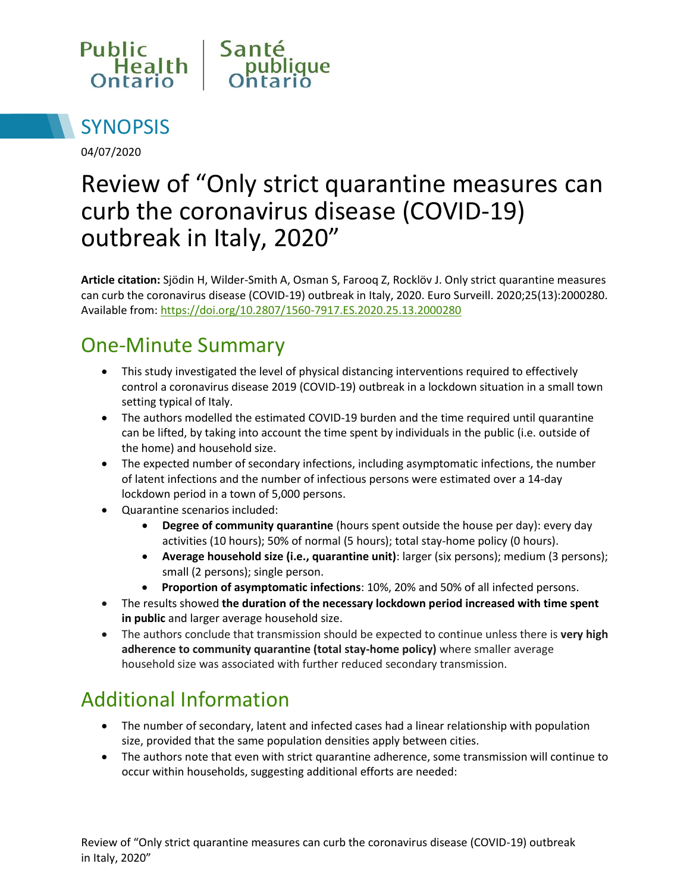



04/07/2020

# Review of "Only strict quarantine measures can curb the coronavirus disease (COVID-19) outbreak in Italy, 2020"

**Article citation:** Sjödin H, Wilder-Smith A, Osman S, Farooq Z, Rocklöv J. Only strict quarantine measures can curb the coronavirus disease (COVID-19) outbreak in Italy, 2020. Euro Surveill. 2020;25(13):2000280. Available from[: https://doi.org/10.2807/1560-7917.ES.2020.25.13.2000280](https://doi.org/10.2807/1560-7917.ES.2020.25.13.2000280)

### One-Minute Summary

- This study investigated the level of physical distancing interventions required to effectively control a coronavirus disease 2019 (COVID-19) outbreak in a lockdown situation in a small town setting typical of Italy.
- The authors modelled the estimated COVID-19 burden and the time required until quarantine can be lifted, by taking into account the time spent by individuals in the public (i.e. outside of the home) and household size.
- The expected number of secondary infections, including asymptomatic infections, the number of latent infections and the number of infectious persons were estimated over a 14-day lockdown period in a town of 5,000 persons.
- Quarantine scenarios included:
	- **Degree of community quarantine** (hours spent outside the house per day): every day activities (10 hours); 50% of normal (5 hours); total stay-home policy (0 hours).
	- **Average household size (i.e., quarantine unit)**: larger (six persons); medium (3 persons); small (2 persons); single person.
	- **Proportion of asymptomatic infections**: 10%, 20% and 50% of all infected persons.
- The results showed **the duration of the necessary lockdown period increased with time spent in public** and larger average household size.
- The authors conclude that transmission should be expected to continue unless there is **very high adherence to community quarantine (total stay-home policy)** where smaller average household size was associated with further reduced secondary transmission.

# Additional Information

- The number of secondary, latent and infected cases had a linear relationship with population size, provided that the same population densities apply between cities.
- The authors note that even with strict quarantine adherence, some transmission will continue to occur within households, suggesting additional efforts are needed: